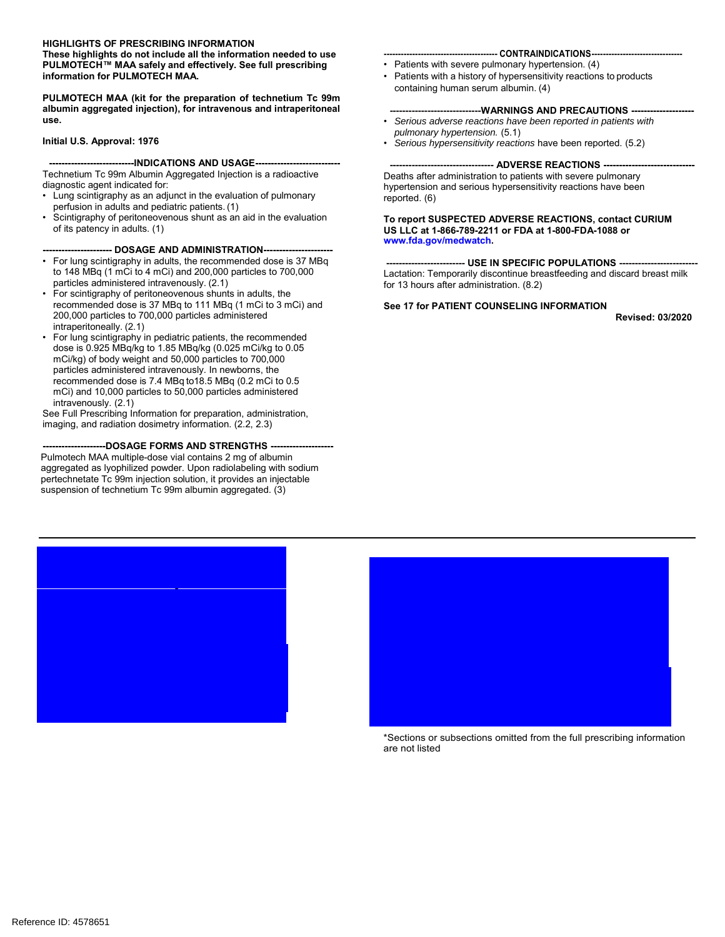# **HIGHLIGHTS OF PRESCRIBING INFORMATION**

**These highlights do not include all the information needed to use PULMOTECH™ MAA safely and effectively. See full prescribing information for PULMOTECH MAA.**

**PULMOTECH MAA (kit for the preparation of technetium Tc 99m albumin aggregated injection), for intravenous and intraperitoneal use.**

#### **Initial U.S. Approval: 1976**

### ---INDICATIONS AND USAGE----

Technetium Tc 99m Albumin Aggregated Injection is a radioactive diagnostic agent indicated for:

- Lung scintigraphy as an adjunct in the evaluation of pulmonary perfusion in adults and pediatric patients. (1)
- Scintigraphy of peritoneovenous shunt as an aid in the evaluation of its patency in adults. (1)

### -- DOSAGE AND ADMINISTRATION--

- For lung scintigraphy in adults, the recommended dose is 37 MBq to 148 MBq (1 mCi to 4 mCi) and 200,000 particles to 700,000 particles administered intravenously. (2.1)
- For scintigraphy of peritoneovenous shunts in adults, the recommended dose is 37 MBq to 111 MBq (1 mCi to 3 mCi) and 200,000 particles to 700,000 particles administered intraperitoneally. (2.1)
- For lung scintigraphy in pediatric patients, the recommended dose is 0.925 MBq/kg to 1.85 MBq/kg (0.025 mCi/kg to 0.05 mCi/kg) of body weight and 50,000 particles to 700,000 particles administered intravenously. In newborns, the recommended dose is 7.4 MBq to18.5 MBq (0.2 mCi to 0.5 mCi) and 10,000 particles to 50,000 particles administered intravenously. (2.1)

See Full Prescribing Information for preparation, administration, imaging, and radiation dosimetry information. (2.2, 2.3)

**--------------------DOSAGE FORMS AND STRENGTHS --------------------** Pulmotech MAA multiple-dose vial contains 2 mg of albumin aggregated as lyophilized powder. Upon radiolabeling with sodium pertechnetate Tc 99m injection solution, it provides an injectable suspension of technetium Tc 99m albumin aggregated. (3)

2.1 [Recommended Dosage and](#page-2-0) Administration

#### --- CONTRAINDICATIONS--

- Patients with severe pulmonary hypertension. (4)
- Patients with a history of hypersensitivity reactions to products containing human serum albumin. (4)

### ----WARNINGS AND PRECAUTIONS --

- *Serious adverse reactions have been reported in patients with pulmonary hypertension.* (5.1)
- *Serious hypersensitivity reactions* have been reported. (5.2)

### **--------------------------------- ADVERSE REACTIONS -----------------------------**

Deaths after administration to patients with severe pulmonary hypertension and serious hypersensitivity reactions have been reported. (6)

#### **To report SUSPECTED ADVERSE REACTIONS, contact CURIUM US LLC at 1-866-789-2211 or FDA at 1-800-FDA-1088 or www.fda.gov/medwatch.**

**--- USE IN SPECIFIC POPULATIONS --**Lactation: Temporarily discontinue breastfeeding and discard breast milk for 13 hours after administration. (8.2)

### **See 17 for PATIENT COUNSELING INFORMATION**

**Revised: 03/2020**



\*Sections or subsections omitted from the full prescribing information are not listed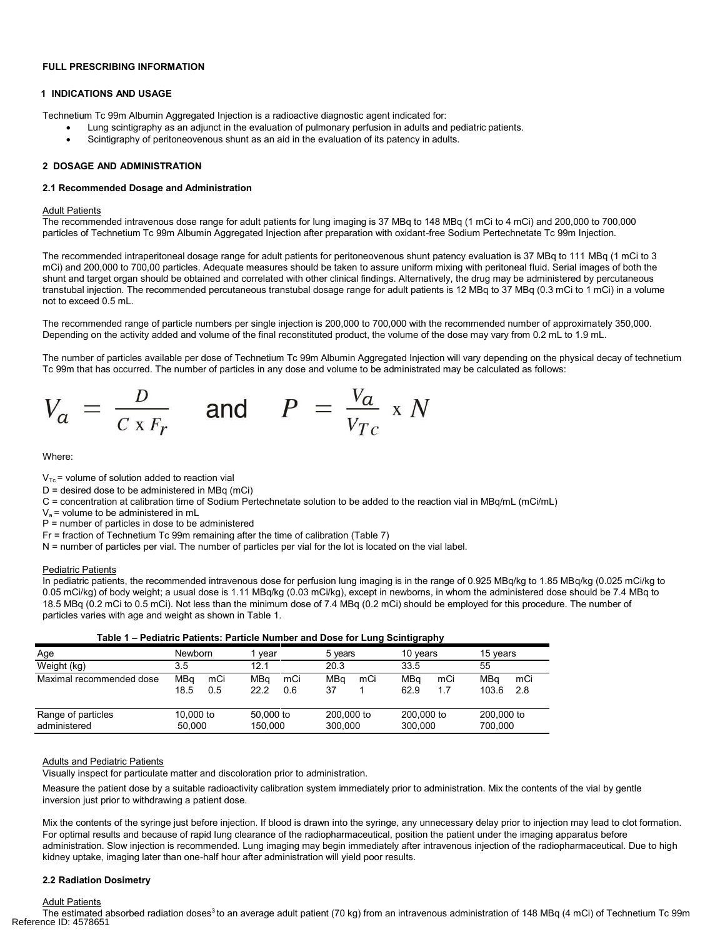### <span id="page-1-0"></span>**FULL PRESCRIBING INFORMATION**

#### **1 INDICATIONS AND USAGE**

Technetium Tc 99m Albumin Aggregated Injection is a radioactive diagnostic agent indicated for:

- Lung scintigraphy as an adjunct in the evaluation of pulmonary perfusion in adults and pediatric patients.
- Scintigraphy of peritoneovenous shunt as an aid in the evaluation of its patency in adults.

### **2 DOSAGE AND ADMINISTRATION**

#### **2.1 Recommended Dosage and Administration**

### **Adult Patients**

The recommended intravenous dose range for adult patients for lung imaging is 37 MBq to 148 MBq (1 mCi to 4 mCi) and 200,000 to 700,000 particles of Technetium Tc 99m Albumin Aggregated Injection after preparation with oxidant-free Sodium Pertechnetate Tc 99m Injection.

The recommended intraperitoneal dosage range for adult patients for peritoneovenous shunt patency evaluation is 37 MBq to 111 MBq (1 mCi to 3 mCi) and 200,000 to 700,00 particles. Adequate measures should be taken to assure uniform mixing with peritoneal fluid. Serial images of both the shunt and target organ should be obtained and correlated with other clinical findings. Alternatively, the drug may be administered by percutaneous transtubal injection. The recommended percutaneous transtubal dosage range for adult patients is 12 MBq to 37 MBq (0.3 mCi to 1 mCi) in a volume not to exceed 0.5 mL.

The recommended range of particle numbers per single injection is 200,000 to 700,000 with the recommended number of approximately 350,000. Depending on the activity added and volume of the final reconstituted product, the volume of the dose may vary from 0.2 mL to 1.9 mL.

The number of particles available per dose of Technetium Tc 99m Albumin Aggregated Injection will vary depending on the physical decay of technetium Tc 99m that has occurred. The number of particles in any dose and volume to be administrated may be calculated as follows:



Where:

- $V_{\text{To}}$  = volume of solution added to reaction vial
- $D =$  desired dose to be administered in MBq (mCi)
- C = concentration at calibration time of Sodium Pertechnetate solution to be added to the reaction vial in MBq/mL (mCi/mL)
- $V<sub>a</sub>$  = volume to be administered in mL
- P = number of particles in dose to be administered
- Fr = fraction of Technetium Tc 99m remaining after the time of calibration (Table 7)
- N = number of particles per vial. The number of particles per vial for the lot is located on the vial label.

#### Pediatric Patients

In pediatric patients, the recommended intravenous dose for perfusion lung imaging is in the range of 0.925 MBq/kg to 1.85 MBq/kg (0.025 mCi/kg to 0.05 mCi/kg) of body weight; a usual dose is 1.11 MBq/kg (0.03 mCi/kg), except in newborns, in whom the administered dose should be 7.4 MBq to 18.5 MBq (0.2 mCi to 0.5 mCi). Not less than the minimum dose of 7.4 MBq (0.2 mCi) should be employed for this procedure. The number of particles varies with age and weight as shown in Table 1.

| $1000$ $1 - 1$ culdulu 1 different 1 diffusion relative fails bosonic Larry Octritigraphy |                     |            |                      |            |                       |     |                       |            |                       |            |
|-------------------------------------------------------------------------------------------|---------------------|------------|----------------------|------------|-----------------------|-----|-----------------------|------------|-----------------------|------------|
| Age                                                                                       | <b>Newborn</b>      |            | vear                 |            | 5 years               |     | 10 years              |            | 15 vears              |            |
| Weight (kg)                                                                               | 3.5                 |            | 12.1                 |            | 20.3                  |     | 33.5                  |            | 55                    |            |
| Maximal recommended dose                                                                  | MBa<br>18.5         | mCi<br>0.5 | MBa<br>22.2          | mCi<br>0.6 | MBa<br>37             | mCi | MBa<br>62.9           | mCi<br>1.7 | MBa<br>103.6          | mCi<br>2.8 |
| Range of particles<br>administered                                                        | 10,000 to<br>50.000 |            | 50,000 to<br>150.000 |            | 200,000 to<br>300.000 |     | 200,000 to<br>300.000 |            | 200,000 to<br>700.000 |            |

| Table 1 - Pediatric Patients: Particle Number and Dose for Lung Scintigraphy |  |  |
|------------------------------------------------------------------------------|--|--|
|                                                                              |  |  |

#### Adults and Pediatric Patients

Visually inspect for particulate matter and discoloration prior to administration.

Measure the patient dose by a suitable radioactivity calibration system immediately prior to administration. Mix the contents of the vial by gentle inversion just prior to withdrawing a patient dose.

Mix the contents of the syringe just before injection. If blood is drawn into the syringe, any unnecessary delay prior to injection may lead to clot formation. For optimal results and because of rapid lung clearance of the radiopharmaceutical, position the patient under the imaging apparatus before administration. Slow injection is recommended. Lung imaging may begin immediately after intravenous injection of the radiopharmaceutical. Due to high kidney uptake, imaging later than one-half hour after administration will yield poor results.

#### **2.2 Radiation Dosimetry**

Adult Patients

The estimated absorbed radiation doses<sup>3</sup> to an average adult patient (70 kg) from an intravenous administration of 148 MBq (4 mCi) of Technetium Tc 99m Reference ID: 4578651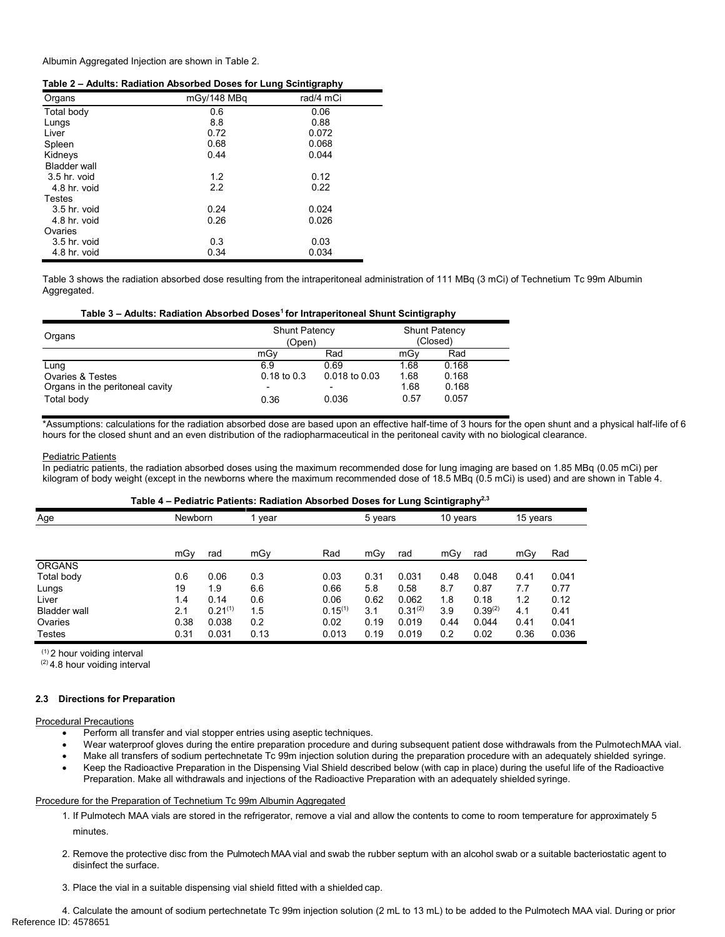<span id="page-2-0"></span>Albumin Aggregated Injection are shown in Table 2.

|                     |             | -<br>. .  |
|---------------------|-------------|-----------|
| Organs              | mGy/148 MBq | rad/4 mCi |
| Total body          | 0.6         | 0.06      |
| Lungs               | 8.8         | 0.88      |
| Liver               | 0.72        | 0.072     |
| Spleen              | 0.68        | 0.068     |
| Kidneys             | 0.44        | 0.044     |
| <b>Bladder wall</b> |             |           |
| 3.5 hr. void        | 1.2         | 0.12      |
| 4.8 hr. void        | 2.2         | 0.22      |
| Testes              |             |           |
| 3.5 hr. void        | 0.24        | 0.024     |
| 4.8 hr. void        | 0.26        | 0.026     |
| Ovaries             |             |           |
| 3.5 hr. void        | 0.3         | 0.03      |
| 4.8 hr. void        | 0.34        | 0.034     |

Table 3 shows the radiation absorbed dose resulting from the intraperitoneal administration of 111 MBq (3 mCi) of Technetium Tc 99m Albumin Aggregated.

### **Table 3 – Adults: Radiation Absorbed Doses<sup>1</sup>for Intraperitoneal Shunt Scintigraphy**

| Organs                          | <b>Shunt Patency</b><br>(Open) |                   | <b>Shunt Patency</b><br>(Closed) |       |  |
|---------------------------------|--------------------------------|-------------------|----------------------------------|-------|--|
|                                 | mGv                            | Rad               | mGv                              | Rad   |  |
| Lung                            | 6.9                            | 0.69              | 1.68                             | 0.168 |  |
| <b>Ovaries &amp; Testes</b>     | $0.18$ to $0.3$                | $0.018$ to $0.03$ | 1.68                             | 0.168 |  |
| Organs in the peritoneal cavity | $\overline{\phantom{a}}$       | ۰                 | 1.68                             | 0.168 |  |
| Total body                      | 0.36                           | 0.036             | 0.57                             | 0.057 |  |

\*Assumptions: calculations for the radiation absorbed dose are based upon an effective half-time of 3 hours for the open shunt and a physical half-life of 6 hours for the closed shunt and an even distribution of the radiopharmaceutical in the peritoneal cavity with no biological clearance.

# Pediatric Patients

In pediatric patients, the radiation absorbed doses using the maximum recommended dose for lung imaging are based on 1.85 MBq (0.05 mCi) per kilogram of body weight (except in the newborns where the maximum recommended dose of 18.5 MBq (0.5 mCi) is used) and are shown in Table 4.

#### **Table 4 – Pediatric Patients: Radiation Absorbed Doses for Lung Scintigraphy2,3**

|               |         |              |      |              |         |              | . .      |              |          |       |
|---------------|---------|--------------|------|--------------|---------|--------------|----------|--------------|----------|-------|
| Age           | Newborn |              | year |              | 5 years |              | 10 years |              | 15 years |       |
|               |         |              |      |              |         |              |          |              |          |       |
|               | mGy     | rad          | mGy  | Rad          | mGy     | rad          | mGy      | rad          | mGy      | Rad   |
| <b>ORGANS</b> |         |              |      |              |         |              |          |              |          |       |
| Total body    | 0.6     | 0.06         | 0.3  | 0.03         | 0.31    | 0.031        | 0.48     | 0.048        | 0.41     | 0.041 |
| Lungs         | 19      | 1.9          | 6.6  | 0.66         | 5.8     | 0.58         | 8.7      | 0.87         | 7.7      | 0.77  |
| Liver         | 1.4     | 0.14         | 0.6  | 0.06         | 0.62    | 0.062        | 1.8      | 0.18         | 1.2      | 0.12  |
| Bladder wall  | 2.1     | $0.21^{(1)}$ | 1.5  | $0.15^{(1)}$ | 3.1     | $0.31^{(2)}$ | 3.9      | $0.39^{(2)}$ | 4.1      | 0.41  |
| Ovaries       | 0.38    | 0.038        | 0.2  | 0.02         | 0.19    | 0.019        | 0.44     | 0.044        | 0.41     | 0.041 |
| Testes        | 0.31    | 0.031        | 0.13 | 0.013        | 0.19    | 0.019        | 0.2      | 0.02         | 0.36     | 0.036 |

(1) 2 hour voiding interval

(2) 4.8 hour voiding interval

### **2.3 Directions for Preparation**

Procedural Precautions

- Perform all transfer and vial stopper entries using aseptic techniques.
- Wear waterproof gloves during the entire preparation procedure and during subsequent patient dose withdrawals from the PulmotechMAA vial.
- Make all transfers of sodium pertechnetate Tc 99m injection solution during the preparation procedure with an adequately shielded syringe.
- Keep the Radioactive Preparation in the Dispensing Vial Shield described below (with cap in place) during the useful life of the Radioactive Preparation. Make all withdrawals and injections of the Radioactive Preparation with an adequately shielded syringe.

#### Procedure for the Preparation of Technetium Tc 99m Albumin Aggregated

- 1. If Pulmotech MAA vials are stored in the refrigerator, remove a vial and allow the contents to come to room temperature for approximately 5 minutes.
- 2. Remove the protective disc from the Pulmotech MAA vial and swab the rubber septum with an alcohol swab or a suitable bacteriostatic agent to disinfect the surface.
- 3. Place the vial in a suitable dispensing vial shield fitted with a shielded cap.

4. Calculate the amount of sodium pertechnetate Tc 99m injection solution (2 mL to 13 mL) to be added to the Pulmotech MAA vial. During or prior Reference ID: 4578651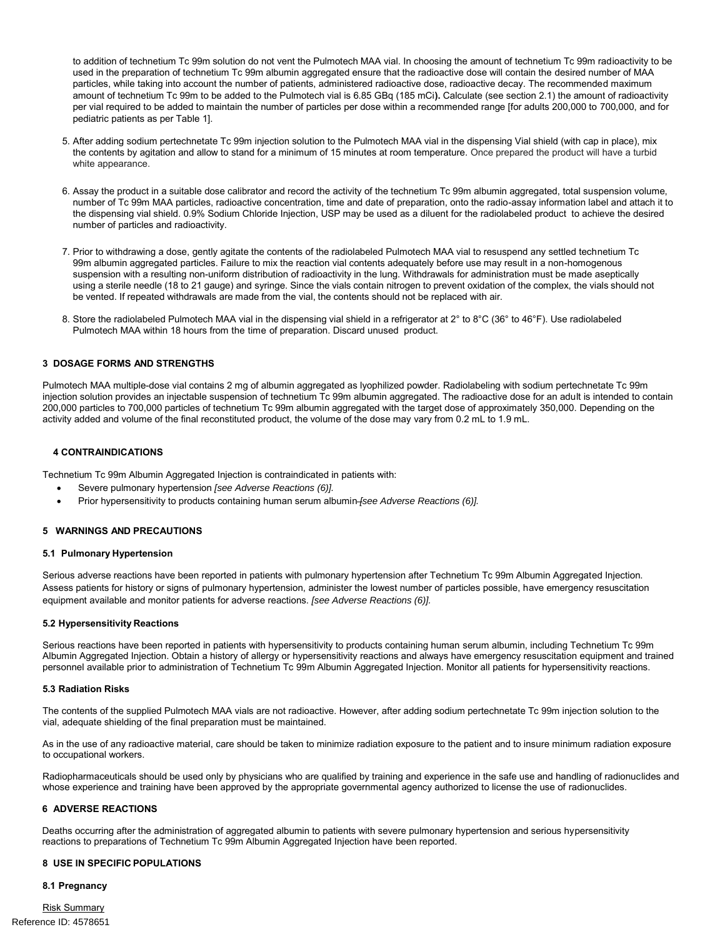<span id="page-3-0"></span>to addition of technetium Tc 99m solution do not vent the Pulmotech MAA vial. In choosing the amount of technetium Tc 99m radioactivity to be used in the preparation of technetium Tc 99m albumin aggregated ensure that the radioactive dose will contain the desired number of MAA particles, while taking into account the number of patients, administered radioactive dose, radioactive decay. The recommended maximum amount of technetium Tc 99m to be added to the Pulmotech vial is 6.85 GBq (185 mCi**).** Calculate (see section 2.1) the amount of radioactivity per vial required to be added to maintain the number of particles per dose within a recommended range [for adults 200,000 to 700,000, and for pediatric patients as per Table 1].

- 5. After adding sodium pertechnetate Tc 99m injection solution to the Pulmotech MAA vial in the dispensing Vial shield (with cap in place), mix the contents by agitation and allow to stand for a minimum of 15 minutes at room temperature. Once prepared the product will have a turbid white appearance.
- 6. Assay the product in a suitable dose calibrator and record the activity of the technetium Tc 99m albumin aggregated, total suspension volume, number of Tc 99m MAA particles, radioactive concentration, time and date of preparation, onto the radio-assay information label and attach it to the dispensing vial shield. 0.9% Sodium Chloride Injection, USP may be used as a diluent for the radiolabeled product to achieve the desired number of particles and radioactivity.
- 7. Prior to withdrawing a dose, gently agitate the contents of the radiolabeled Pulmotech MAA vial to resuspend any settled technetium Tc 99m albumin aggregated particles. Failure to mix the reaction vial contents adequately before use may result in a non-homogenous suspension with a resulting non-uniform distribution of radioactivity in the lung. Withdrawals for administration must be made aseptically using a sterile needle (18 to 21 gauge) and syringe. Since the vials contain nitrogen to prevent oxidation of the complex, the vials should not be vented. If repeated withdrawals are made from the vial, the contents should not be replaced with air.
- 8. Store the radiolabeled Pulmotech MAA vial in the dispensing vial shield in a refrigerator at 2° to 8°C (36° to 46°F). Use radiolabeled Pulmotech MAA within 18 hours from the time of preparation. Discard unused product.

# **3 DOSAGE FORMS AND STRENGTHS**

Pulmotech MAA multiple-dose vial contains 2 mg of albumin aggregated as lyophilized powder. Radiolabeling with sodium pertechnetate Tc 99m injection solution provides an injectable suspension of technetium Tc 99m albumin aggregated. The radioactive dose for an adult is intended to contain 200,000 particles to 700,000 particles of technetium Tc 99m albumin aggregated with the target dose of approximately 350,000. Depending on the activity added and volume of the final reconstituted product, the volume of the dose may vary from 0.2 mL to 1.9 mL.

### **4 CONTRAINDICATIONS**

Technetium Tc 99m Albumin Aggregated Injection is contraindicated in patients with:

- Severe pulmonary hypertension *[see Adverse Reactions (6)].*
- Prior hypersensitivity to products containing human serum albumin *[see Adverse Reactions (6)].*

### **5 WARNINGS AND PRECAUTIONS**

#### **5.1 Pulmonary Hypertension**

Serious adverse reactions have been reported in patients with pulmonary hypertension after Technetium Tc 99m Albumin Aggregated Injection. Assess patients for history or signs of pulmonary hypertension, administer the lowest number of particles possible, have emergency resuscitation equipment available and monitor patients for adverse reactions. *[see Adverse Reactions (6)].*

#### **5.2 Hypersensitivity Reactions**

Serious reactions have been reported in patients with hypersensitivity to products containing human serum albumin, including Technetium Tc 99m Albumin Aggregated Injection. Obtain a history of allergy or hypersensitivity reactions and always have emergency resuscitation equipment and trained personnel available prior to administration of Technetium Tc 99m Albumin Aggregated Injection. Monitor all patients for hypersensitivity reactions.

#### **5.3 Radiation Risks**

The contents of the supplied Pulmotech MAA vials are not radioactive. However, after adding sodium pertechnetate Tc 99m injection solution to the vial, adequate shielding of the final preparation must be maintained.

As in the use of any radioactive material, care should be taken to minimize radiation exposure to the patient and to insure minimum radiation exposure to occupational workers.

Radiopharmaceuticals should be used only by physicians who are qualified by training and experience in the safe use and handling of radionuclides and whose experience and training have been approved by the appropriate governmental agency authorized to license the use of radionuclides.

### **6 ADVERSE REACTIONS**

Deaths occurring after the administration of aggregated albumin to patients with severe pulmonary hypertension and serious hypersensitivity reactions to preparations of Technetium Tc 99m Albumin Aggregated Injection have been reported.

#### **8 USE IN SPECIFIC POPULATIONS**

#### **8.1 Pregnancy**

Risk Summary Reference ID: 4578651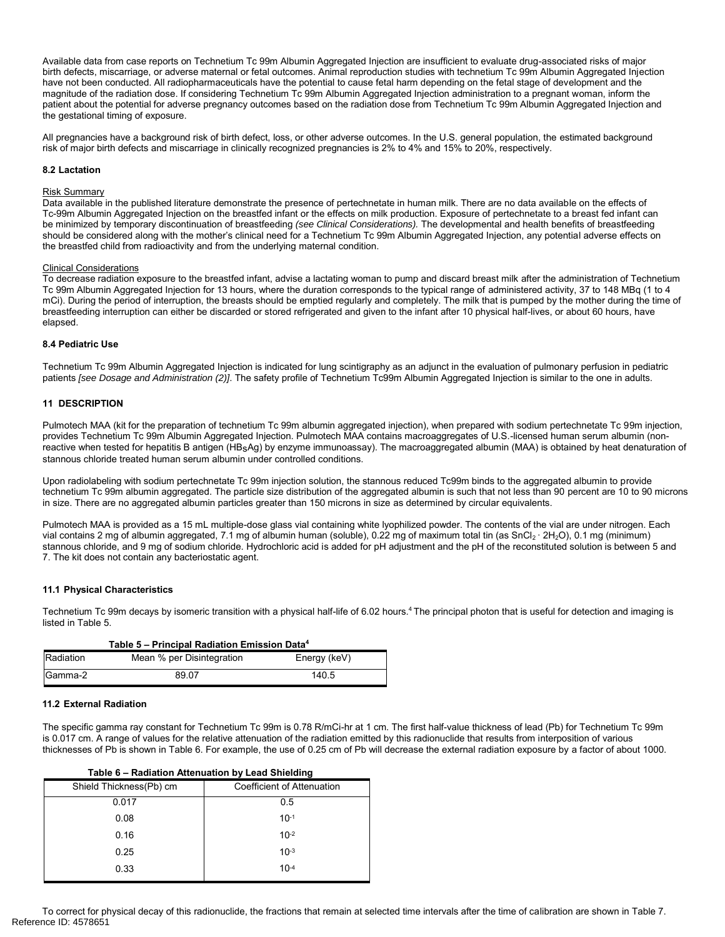<span id="page-4-0"></span>Available data from case reports on Technetium Tc 99m Albumin Aggregated Injection are insufficient to evaluate drug-associated risks of major birth defects, miscarriage, or adverse maternal or fetal outcomes. Animal reproduction studies with technetium Tc 99m Albumin Aggregated Injection have not been conducted. All radiopharmaceuticals have the potential to cause fetal harm depending on the fetal stage of development and the magnitude of the radiation dose. If considering Technetium Tc 99m Albumin Aggregated Injection administration to a pregnant woman, inform the patient about the potential for adverse pregnancy outcomes based on the radiation dose from Technetium Tc 99m Albumin Aggregated Injection and the gestational timing of exposure.

All pregnancies have a background risk of birth defect, loss, or other adverse outcomes. In the U.S. general population, the estimated background risk of major birth defects and miscarriage in clinically recognized pregnancies is 2% to 4% and 15% to 20%, respectively.

### **8.2 Lactation**

#### Risk Summary

Data available in the published literature demonstrate the presence of pertechnetate in human milk. There are no data available on the effects of Tc-99m Albumin Aggregated Injection on the breastfed infant or the effects on milk production. Exposure of pertechnetate to a breast fed infant can be minimized by temporary discontinuation of breastfeeding *(see Clinical Considerations).* The developmental and health benefits of breastfeeding should be considered along with the mother's clinical need for a Technetium Tc 99m Albumin Aggregated Injection, any potential adverse effects on the breastfed child from radioactivity and from the underlying maternal condition.

#### Clinical Considerations

To decrease radiation exposure to the breastfed infant, advise a lactating woman to pump and discard breast milk after the administration of Technetium Tc 99m Albumin Aggregated Injection for 13 hours, where the duration corresponds to the typical range of administered activity, 37 to 148 MBq (1 to 4 mCi). During the period of interruption, the breasts should be emptied regularly and completely. The milk that is pumped by the mother during the time of breastfeeding interruption can either be discarded or stored refrigerated and given to the infant after 10 physical half-lives, or about 60 hours, have elapsed.

### **8.4 Pediatric Use**

Technetium Tc 99m Albumin Aggregated Injection is indicated for lung scintigraphy as an adjunct in the evaluation of pulmonary perfusion in pediatric patients *[see Dosage and Administration (2)]*. The safety profile of Technetium Tc99m Albumin Aggregated Injection is similar to the one in adults.

### **11 DESCRIPTION**

Pulmotech MAA (kit for the preparation of technetium Tc 99m albumin aggregated injection), when prepared with sodium pertechnetate Tc 99m injection, provides Technetium Tc 99m Albumin Aggregated Injection. Pulmotech MAA contains macroaggregates of U.S.-licensed human serum albumin (nonreactive when tested for hepatitis B antigen (HBsAg) by enzyme immunoassay). The macroaggregated albumin (MAA) is obtained by heat denaturation of stannous chloride treated human serum albumin under controlled conditions.

Upon radiolabeling with sodium pertechnetate Tc 99m injection solution, the stannous reduced Tc99m binds to the aggregated albumin to provide technetium Tc 99m albumin aggregated. The particle size distribution of the aggregated albumin is such that not less than 90 percent are 10 to 90 microns in size. There are no aggregated albumin particles greater than 150 microns in size as determined by circular equivalents.

Pulmotech MAA is provided as a 15 mL multiple-dose glass vial containing white lyophilized powder. The contents of the vial are under nitrogen. Each vial contains 2 mg of albumin aggregated, 7.1 mg of albumin human (soluble), 0.22 mg of maximum total tin (as SnCl<sub>2</sub> · 2H<sub>2</sub>O), 0.1 mg (minimum) stannous chloride, and 9 mg of sodium chloride. Hydrochloric acid is added for pH adjustment and the pH of the reconstituted solution is between 5 and 7. The kit does not contain any bacteriostatic agent.

### **11.1 Physical Characteristics**

Technetium Tc 99m decays by isomeric transition with a physical half-life of 6.02 hours.<sup>4</sup> The principal photon that is useful for detection and imaging is listed in Table 5.

| Table 5 - Principal Radiation Emission Data <sup>4</sup> |                           |              |  |  |
|----------------------------------------------------------|---------------------------|--------------|--|--|
| Radiation                                                | Mean % per Disintegration | Energy (keV) |  |  |
| Gamma-2                                                  | 89.07                     | 140.5        |  |  |

### **11.2 External Radiation**

The specific gamma ray constant for Technetium Tc 99m is 0.78 R/mCi-hr at 1 cm. The first half-value thickness of lead (Pb) for Technetium Tc 99m is 0.017 cm. A range of values for the relative attenuation of the radiation emitted by this radionuclide that results from interposition of various thicknesses of Pb is shown in Table 6. For example, the use of 0.25 cm of Pb will decrease the external radiation exposure by a factor of about 1000.

| Table 6 – Radiation Attenuation by Lead Shielding |                            |  |  |  |  |
|---------------------------------------------------|----------------------------|--|--|--|--|
| Shield Thickness(Pb) cm                           | Coefficient of Attenuation |  |  |  |  |
| 0.017                                             | 0.5                        |  |  |  |  |
| 0.08                                              | $10-1$                     |  |  |  |  |
| 0.16                                              | $10^{-2}$                  |  |  |  |  |
| 0.25                                              | $10^{-3}$                  |  |  |  |  |
| 0.33                                              | $10-4$                     |  |  |  |  |

To correct for physical decay of this radionuclide, the fractions that remain at selected time intervals after the time of calibration are shown in Table 7. Reference ID: 4578651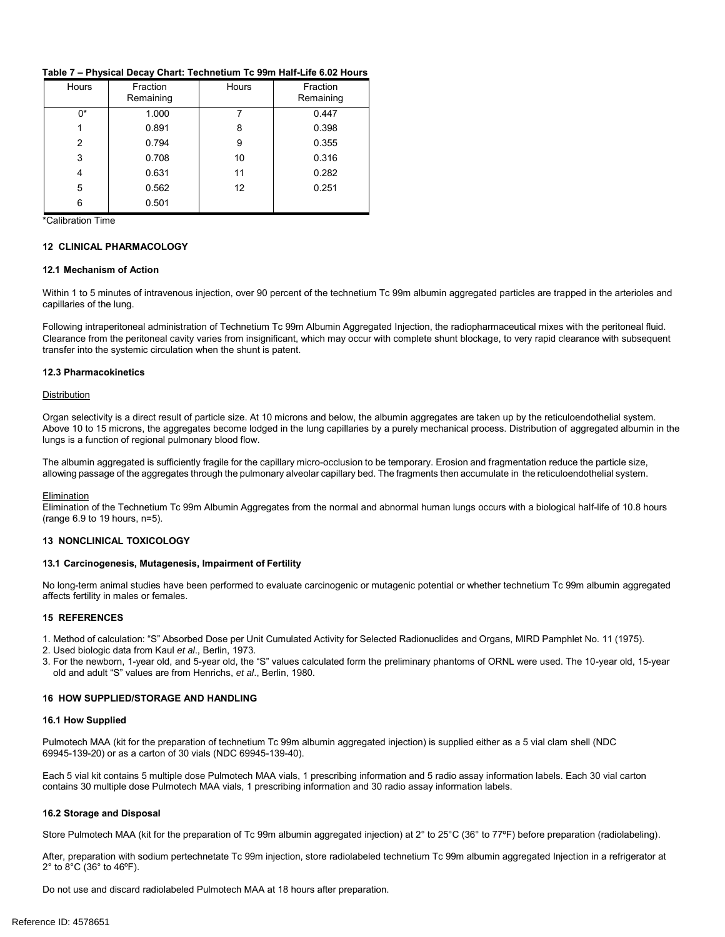### <span id="page-5-0"></span>**Table 7 – Physical Decay Chart: Technetium Tc 99m Half-Life 6.02 Hours**

| Hours | Fraction<br>Remaining | Hours | Fraction<br>Remaining |
|-------|-----------------------|-------|-----------------------|
| 0*    | 1.000                 |       | 0.447                 |
|       | 0.891                 | 8     | 0.398                 |
| 2     | 0.794                 | 9     | 0.355                 |
| 3     | 0.708                 | 10    | 0.316                 |
| 4     | 0.631                 | 11    | 0.282                 |
| 5     | 0.562                 | 12    | 0.251                 |
| 6     | 0.501                 |       |                       |

\*Calibration Time

### **12 CLINICAL PHARMACOLOGY**

#### **12.1 Mechanism of Action**

Within 1 to 5 minutes of intravenous injection, over 90 percent of the technetium Tc 99m albumin aggregated particles are trapped in the arterioles and capillaries of the lung.

Following intraperitoneal administration of Technetium Tc 99m Albumin Aggregated Injection, the radiopharmaceutical mixes with the peritoneal fluid. Clearance from the peritoneal cavity varies from insignificant, which may occur with complete shunt blockage, to very rapid clearance with subsequent transfer into the systemic circulation when the shunt is patent.

#### **12.3 Pharmacokinetics**

#### **Distribution**

Organ selectivity is a direct result of particle size. At 10 microns and below, the albumin aggregates are taken up by the reticuloendothelial system. Above 10 to 15 microns, the aggregates become lodged in the lung capillaries by a purely mechanical process. Distribution of aggregated albumin in the lungs is a function of regional pulmonary blood flow.

The albumin aggregated is sufficiently fragile for the capillary micro-occlusion to be temporary. Erosion and fragmentation reduce the particle size, allowing passage of the aggregates through the pulmonary alveolar capillary bed. The fragments then accumulate in the reticuloendothelial system.

#### Elimination

Elimination of the Technetium Tc 99m Albumin Aggregates from the normal and abnormal human lungs occurs with a biological half-life of 10.8 hours (range 6.9 to 19 hours, n=5).

# **13 NONCLINICAL TOXICOLOGY**

#### **13.1 Carcinogenesis, Mutagenesis, Impairment of Fertility**

No long-term animal studies have been performed to evaluate carcinogenic or mutagenic potential or whether technetium Tc 99m albumin aggregated affects fertility in males or females.

### **15 REFERENCES**

- 1. Method of calculation: "S" Absorbed Dose per Unit Cumulated Activity for Selected Radionuclides and Organs, MIRD Pamphlet No. 11 (1975).
- 2. Used biologic data from Kaul *et al*., Berlin, 1973.
- 3. For the newborn, 1-year old, and 5-year old, the "S" values calculated form the preliminary phantoms of ORNL were used. The 10-year old, 15-year old and adult "S" values are from Henrichs, *et al*., Berlin, 1980.

### **16 HOW SUPPLIED/STORAGE AND HANDLING**

#### **16.1 How Supplied**

Pulmotech MAA (kit for the preparation of technetium Tc 99m albumin aggregated injection) is supplied either as a 5 vial clam shell (NDC 69945-139-20) or as a carton of 30 vials (NDC 69945-139-40).

Each 5 vial kit contains 5 multiple dose Pulmotech MAA vials, 1 prescribing information and 5 radio assay information labels. Each 30 vial carton contains 30 multiple dose Pulmotech MAA vials, 1 prescribing information and 30 radio assay information labels.

#### **16.2 Storage and Disposal**

Store Pulmotech MAA (kit for the preparation of Tc 99m albumin aggregated injection) at 2° to 25°C (36° to 77ºF) before preparation (radiolabeling).

After, preparation with sodium pertechnetate Tc 99m injection, store radiolabeled technetium Tc 99m albumin aggregated Injection in a refrigerator at 2° to 8°C (36° to 46ºF).

Do not use and discard radiolabeled Pulmotech MAA at 18 hours after preparation.